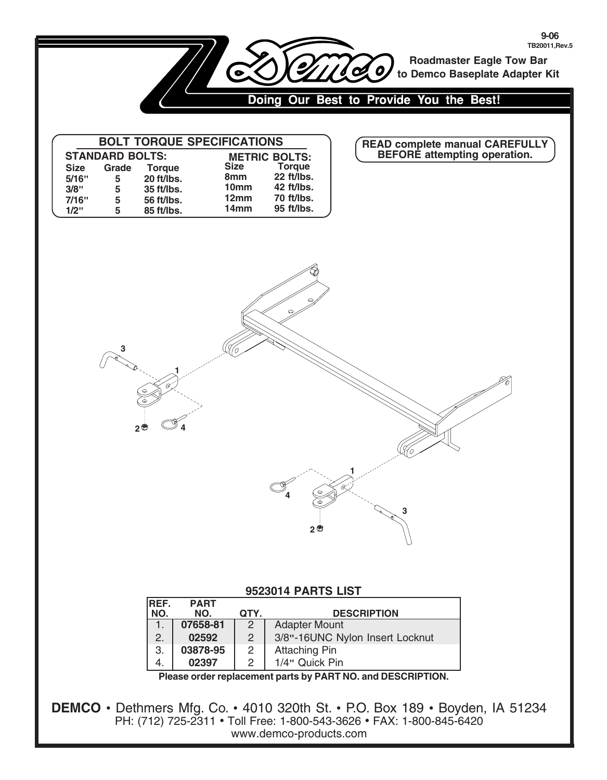| $9 - 06$<br>TB20011, Rev. 5                                                                                                                                                                                                                                                                                                                                               |
|---------------------------------------------------------------------------------------------------------------------------------------------------------------------------------------------------------------------------------------------------------------------------------------------------------------------------------------------------------------------------|
| <b>Roadmaster Eagle Tow Bar</b><br>to Demco Baseplate Adapter Kit                                                                                                                                                                                                                                                                                                         |
| Doing Our Best to Provide You the Best!                                                                                                                                                                                                                                                                                                                                   |
|                                                                                                                                                                                                                                                                                                                                                                           |
| <b>BOLT TORQUE SPECIFICATIONS</b><br>READ complete manual CAREFULLY<br><b>BEFORE</b> attempting operation.<br><b>STANDARD BOLTS:</b>                                                                                                                                                                                                                                      |
| <b>METRIC BOLTS:</b><br><b>Size</b><br><b>Torque</b><br><b>Size</b><br>Grade<br><b>Torque</b><br>22 ft/lbs.<br>8mm<br>5/16"<br>20 ft/lbs.<br>5<br>10mm<br>42 ft/lbs.<br>3/8"<br>5<br>35 ft/lbs.<br>70 ft/lbs.<br>12mm<br>5<br>7/16"<br>56 ft/lbs.<br>95 ft/lbs.<br>14 <sub>mm</sub><br>5<br>1/2"<br>85 ft/lbs.                                                            |
|                                                                                                                                                                                                                                                                                                                                                                           |
| 2 ື                                                                                                                                                                                                                                                                                                                                                                       |
| 3<br>2 ම                                                                                                                                                                                                                                                                                                                                                                  |
| <b>9523014 PARTS LIST</b>                                                                                                                                                                                                                                                                                                                                                 |
| REF.<br><b>PART</b><br>NO.<br>NO.<br>QTY.<br><b>DESCRIPTION</b><br>07658-81<br>$\overline{2}$<br><b>Adapter Mount</b><br>1.<br>$2^{\circ}$<br>2.<br>02592<br>3/8"-16UNC Nylon Insert Locknut<br>$\overline{2}$<br><b>Attaching Pin</b><br>3.<br>03878-95<br>1/4" Quick Pin<br>02397<br>$\mathcal{P}$<br>4.<br>Please order replacement parts by PART NO. and DESCRIPTION. |
| DEMCO · Dethmers Mfg. Co. · 4010 320th St. · P.O. Box 189 · Boyden, IA 51234<br>PH: (712) 725-2311 • Toll Free: 1-800-543-3626 • FAX: 1-800-845-6420<br>www.demco-products.com                                                                                                                                                                                            |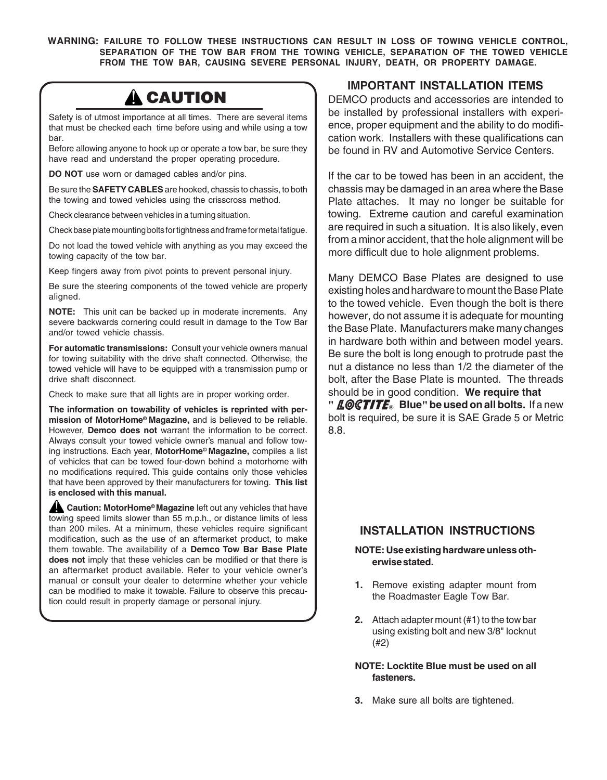**WARNING: FAILURE TO FOLLOW THESE INSTRUCTIONS CAN RESULT IN LOSS OF TOWING VEHICLE CONTROL, SEPARATION OF THE TOW BAR FROM THE TOWING VEHICLE, SEPARATION OF THE TOWED VEHICLE FROM THE TOW BAR, CAUSING SEVERE PERSONAL INJURY, DEATH, OR PROPERTY DAMAGE.**

8.8.

# **A** CAUTION

Safety is of utmost importance at all times. There are several items that must be checked each time before using and while using a tow bar.

Before allowing anyone to hook up or operate a tow bar, be sure they have read and understand the proper operating procedure.

**DO NOT** use worn or damaged cables and/or pins.

Be sure the **SAFETY CABLES** are hooked, chassis to chassis, to both the towing and towed vehicles using the crisscross method.

Check clearance between vehicles in a turning situation.

Check base plate mounting bolts for tightness and frame for metal fatigue.

Do not load the towed vehicle with anything as you may exceed the towing capacity of the tow bar.

Keep fingers away from pivot points to prevent personal injury.

Be sure the steering components of the towed vehicle are properly aligned.

**NOTE:** This unit can be backed up in moderate increments. Any severe backwards cornering could result in damage to the Tow Bar and/or towed vehicle chassis.

**For automatic transmissions:** Consult your vehicle owners manual for towing suitability with the drive shaft connected. Otherwise, the towed vehicle will have to be equipped with a transmission pump or drive shaft disconnect.

Check to make sure that all lights are in proper working order.

**The information on towability of vehicles is reprinted with permission of MotorHome© Magazine,** and is believed to be reliable. However, **Demco does not** warrant the information to be correct. Always consult your towed vehicle owner's manual and follow towing instructions. Each year, **MotorHome© Magazine,** compiles a list of vehicles that can be towed four-down behind a motorhome with no modifications required. This guide contains only those vehicles that have been approved by their manufacturers for towing. **This list is enclosed with this manual.**

**Caution: MotorHome<sup>®</sup> Magazine** left out any vehicles that have towing speed limits slower than 55 m.p.h., or distance limits of less than 200 miles. At a minimum, these vehicles require significant modification, such as the use of an aftermarket product, to make them towable. The availability of a **Demco Tow Bar Base Plate does not** imply that these vehicles can be modified or that there is an aftermarket product available. Refer to your vehicle owner's manual or consult your dealer to determine whether your vehicle can be modified to make it towable. Failure to observe this precaution could result in property damage or personal injury.

# **IMPORTANT INSTALLATION ITEMS**

DEMCO products and accessories are intended to be installed by professional installers with experience, proper equipment and the ability to do modification work. Installers with these qualifications can be found in RV and Automotive Service Centers.

If the car to be towed has been in an accident, the chassis may be damaged in an area where the Base Plate attaches. It may no longer be suitable for towing. Extreme caution and careful examination are required in such a situation. It is also likely, even from a minor accident, that the hole alignment will be more difficult due to hole alignment problems.

Many DEMCO Base Plates are designed to use existing holes and hardware to mount the Base Plate to the towed vehicle. Even though the bolt is there however, do not assume it is adequate for mounting the Base Plate. Manufacturers make many changes in hardware both within and between model years. Be sure the bolt is long enough to protrude past the nut a distance no less than 1/2 the diameter of the bolt, after the Base Plate is mounted. The threads should be in good condition. **We require that** "  $\text{\textit{\textbf{L0}CTITE}}_{\text{\textit{b}}}$  Blue" be used on all bolts. If a new bolt is required, be sure it is SAE Grade 5 or Metric

# **INSTALLATION INSTRUCTIONS**

#### **NOTE: Use existing hardware unless otherwise stated.**

- **1.** Remove existing adapter mount from the Roadmaster Eagle Tow Bar.
- **2.** Attach adapter mount (#1) to the tow bar using existing bolt and new 3/8" locknut (#2)
- **NOTE: Locktite Blue must be used on all fasteners.**
- **3.** Make sure all bolts are tightened.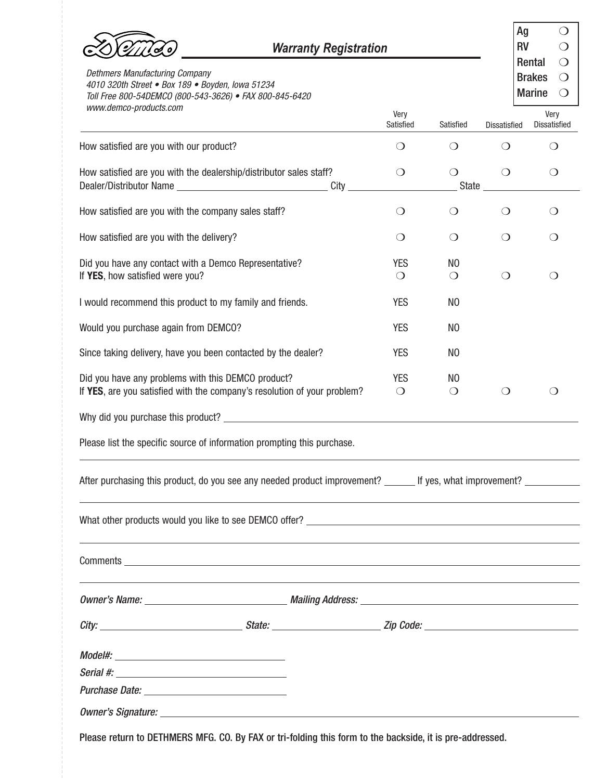| <b>Warranty Registration</b>                                                                                                                                                   |                          |                     |                     | Ag<br>◯<br><b>RV</b><br>◯<br>Rental<br>$\left( \ \right)$                  |
|--------------------------------------------------------------------------------------------------------------------------------------------------------------------------------|--------------------------|---------------------|---------------------|----------------------------------------------------------------------------|
| <b>Dethmers Manufacturing Company</b><br>4010 320th Street . Box 189 . Boyden, Iowa 51234<br>Toll Free 800-54DEMCO (800-543-3626) · FAX 800-845-6420<br>www.demco-products.com | Very                     |                     |                     | <b>Brakes</b><br>$\left( \ \right)$<br><b>Marine</b><br>$\bigcirc$<br>Very |
|                                                                                                                                                                                | Satisfied                | Satisfied           | <b>Dissatisfied</b> | Dissatisfied                                                               |
| How satisfied are you with our product?                                                                                                                                        | $\left( \right)$         | ◯                   | ◯                   | ◯                                                                          |
| How satisfied are you with the dealership/distributor sales staff?                                                                                                             | $\bigcirc$               | $\bigcirc$          | ∩<br>State          | $\bigcirc$                                                                 |
| How satisfied are you with the company sales staff?                                                                                                                            | $\bigcirc$               | $\bigcirc$          | $\bigcirc$          | $\bigcirc$                                                                 |
| How satisfied are you with the delivery?                                                                                                                                       | $\bigcirc$               | $\bigcirc$          | $\bigcirc$          | $\bigcirc$                                                                 |
| Did you have any contact with a Demco Representative?<br>If YES, how satisfied were you?                                                                                       | <b>YES</b><br>$\bigcirc$ | N <sub>0</sub><br>◯ | $\bigcirc$          | $\bigcirc$                                                                 |
| I would recommend this product to my family and friends.                                                                                                                       | <b>YES</b>               | N <sub>0</sub>      |                     |                                                                            |
| Would you purchase again from DEMCO?                                                                                                                                           | <b>YES</b>               | N <sub>0</sub>      |                     |                                                                            |
| Since taking delivery, have you been contacted by the dealer?                                                                                                                  | <b>YES</b>               | N <sub>0</sub>      |                     |                                                                            |
| Did you have any problems with this DEMCO product?<br>If YES, are you satisfied with the company's resolution of your problem?                                                 | <b>YES</b><br>$\bigcirc$ | NO<br>$\bigcirc$    | $\bigcirc$          | $\bigcirc$                                                                 |
|                                                                                                                                                                                |                          |                     |                     |                                                                            |
| Please list the specific source of information prompting this purchase.                                                                                                        |                          |                     |                     |                                                                            |
| After purchasing this product, do you see any needed product improvement? _______ If yes, what improvement?                                                                    |                          |                     |                     |                                                                            |
|                                                                                                                                                                                |                          |                     |                     |                                                                            |
|                                                                                                                                                                                |                          |                     |                     |                                                                            |
|                                                                                                                                                                                |                          |                     |                     |                                                                            |
|                                                                                                                                                                                |                          |                     |                     |                                                                            |
|                                                                                                                                                                                |                          |                     |                     |                                                                            |
|                                                                                                                                                                                |                          |                     |                     |                                                                            |
|                                                                                                                                                                                |                          |                     |                     |                                                                            |
|                                                                                                                                                                                |                          |                     |                     |                                                                            |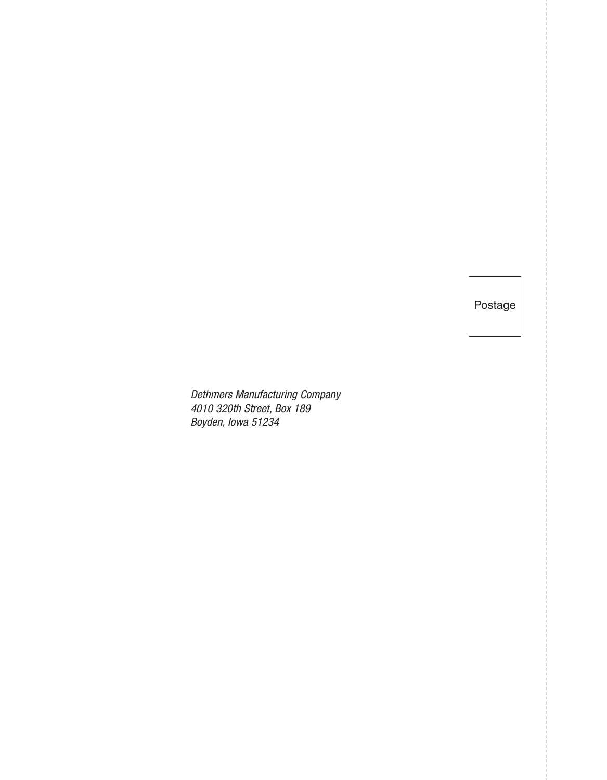Postage

Dethmers Manufacturing Company 4010 320th Street, Box 189 Boyden, Iowa 51234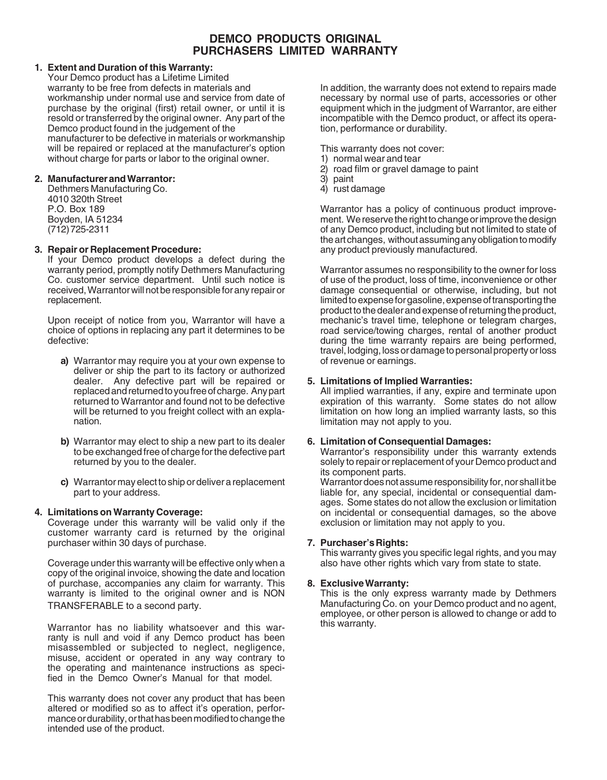# **DEMCO PRODUCTS ORIGINAL PURCHASERS LIMITED WARRANTY**

## **1. Extent and Duration of this Warranty:**

Your Demco product has a Lifetime Limited warranty to be free from defects in materials and workmanship under normal use and service from date of purchase by the original (first) retail owner, or until it is resold or transferred by the original owner. Any part of the Demco product found in the judgement of the manufacturer to be defective in materials or workmanship will be repaired or replaced at the manufacturer's option without charge for parts or labor to the original owner.

# **2. Manufacturer and Warrantor:**

Dethmers Manufacturing Co. 4010 320th Street P.O. Box 189 Boyden, IA 51234 (712) 725-2311

# **3. Repair or Replacement Procedure:**

If your Demco product develops a defect during the warranty period, promptly notify Dethmers Manufacturing Co. customer service department. Until such notice is received, Warrantor will not be responsible for any repair or replacement.

Upon receipt of notice from you, Warrantor will have a choice of options in replacing any part it determines to be defective:

- **a)** Warrantor may require you at your own expense to deliver or ship the part to its factory or authorized dealer. Any defective part will be repaired or replaced and returned to you free of charge. Any part returned to Warrantor and found not to be defective will be returned to you freight collect with an explanation.
- **b)** Warrantor may elect to ship a new part to its dealer to be exchanged free of charge for the defective part returned by you to the dealer.
- **c)** Warrantor may elect to ship or deliver a replacement part to your address.

## **4. Limitations on Warranty Coverage:**

Coverage under this warranty will be valid only if the customer warranty card is returned by the original purchaser within 30 days of purchase.

Coverage under this warranty will be effective only when a copy of the original invoice, showing the date and location of purchase, accompanies any claim for warranty. This warranty is limited to the original owner and is NON TRANSFERABLE to a second party.

Warrantor has no liability whatsoever and this warranty is null and void if any Demco product has been misassembled or subjected to neglect, negligence, misuse, accident or operated in any way contrary to the operating and maintenance instructions as specified in the Demco Owner's Manual for that model.

This warranty does not cover any product that has been altered or modified so as to affect it's operation, performance or durability, or that has been modified to change the intended use of the product.

In addition, the warranty does not extend to repairs made necessary by normal use of parts, accessories or other equipment which in the judgment of Warrantor, are either incompatible with the Demco product, or affect its operation, performance or durability.

This warranty does not cover:

- 1) normal wear and tear
- 2) road film or gravel damage to paint
- 3) paint
- 4) rust damage

Warrantor has a policy of continuous product improvement. We reserve the right to change or improve the design of any Demco product, including but not limited to state of the art changes, without assuming any obligation to modify any product previously manufactured.

Warrantor assumes no responsibility to the owner for loss of use of the product, loss of time, inconvenience or other damage consequential or otherwise, including, but not limited to expense for gasoline, expense of transporting the product to the dealer and expense of returning the product, mechanic's travel time, telephone or telegram charges, road service/towing charges, rental of another product during the time warranty repairs are being performed, travel, lodging, loss or damage to personal property or loss of revenue or earnings.

# **5. Limitations of Implied Warranties:**

All implied warranties, if any, expire and terminate upon expiration of this warranty. Some states do not allow limitation on how long an implied warranty lasts, so this limitation may not apply to you.

## **6. Limitation of Consequential Damages:**

Warrantor's responsibility under this warranty extends solely to repair or replacement of your Demco product and its component parts.

Warrantor does not assume responsibility for, nor shall it be liable for, any special, incidental or consequential damages. Some states do not allow the exclusion or limitation on incidental or consequential damages, so the above exclusion or limitation may not apply to you.

## **7. Purchaser's Rights:**

This warranty gives you specific legal rights, and you may also have other rights which vary from state to state.

## **8. Exclusive Warranty:**

This is the only express warranty made by Dethmers Manufacturing Co. on your Demco product and no agent, employee, or other person is allowed to change or add to this warranty.